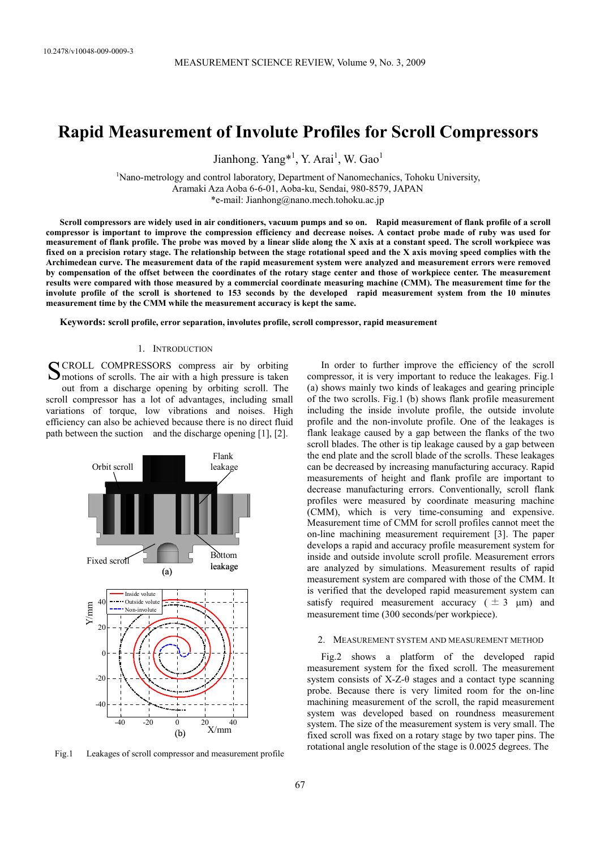# **Rapid Measurement of Involute Profiles for Scroll Compressors**

Jianhong. Yang<sup>\*1</sup>, Y. Arai<sup>1</sup>, W. Gao<sup>1</sup>

<sup>1</sup>Nano-metrology and control laboratory, Department of Nanomechanics, Tohoku University, Aramaki Aza Aoba 6-6-01, Aoba-ku, Sendai, 980-8579, JAPAN \*e-mail: Jianhong@nano.mech.tohoku.ac.jp

**Scroll compressors are widely used in air conditioners, vacuum pumps and so on. Rapid measurement of flank profile of a scroll compressor is important to improve the compression efficiency and decrease noises. A contact probe made of ruby was used for measurement of flank profile. The probe was moved by a linear slide along the X axis at a constant speed. The scroll workpiece was fixed on a precision rotary stage. The relationship between the stage rotational speed and the X axis moving speed complies with the Archimedean curve. The measurement data of the rapid measurement system were analyzed and measurement errors were removed by compensation of the offset between the coordinates of the rotary stage center and those of workpiece center. The measurement results were compared with those measured by a commercial coordinate measuring machine (CMM). The measurement time for the involute profile of the scroll is shortened to 153 seconds by the developed rapid measurement system from the 10 minutes measurement time by the CMM while the measurement accuracy is kept the same.** 

**Keywords: scroll profile, error separation, involutes profile, scroll compressor, rapid measurement** 

## 1. INTRODUCTION

CROLL COMPRESSORS compress air by orbiting SCROLL COMPRESSORS compress air by orbiting<br>
Smotions of scrolls. The air with a high pressure is taken out from a discharge opening by orbiting scroll. The scroll compressor has a lot of advantages, including small variations of torque, low vibrations and noises. High efficiency can also be achieved because there is no direct fluid path between the suction and the discharge opening [1], [2].



Fig.1 Leakages of scroll compressor and measurement profile

In order to further improve the efficiency of the scroll compressor, it is very important to reduce the leakages. Fig.1 (a) shows mainly two kinds of leakages and gearing principle of the two scrolls. Fig.1 (b) shows flank profile measurement including the inside involute profile, the outside involute profile and the non-involute profile. One of the leakages is flank leakage caused by a gap between the flanks of the two scroll blades. The other is tip leakage caused by a gap between the end plate and the scroll blade of the scrolls. These leakages can be decreased by increasing manufacturing accuracy. Rapid measurements of height and flank profile are important to decrease manufacturing errors. Conventionally, scroll flank profiles were measured by coordinate measuring machine (CMM), which is very time-consuming and expensive. Measurement time of CMM for scroll profiles cannot meet the on-line machining measurement requirement [3]. The paper develops a rapid and accuracy profile measurement system for inside and outside involute scroll profile. Measurement errors are analyzed by simulations. Measurement results of rapid measurement system are compared with those of the CMM. It is verified that the developed rapid measurement system can satisfy required measurement accuracy ( $\pm 3 \mu$ m) and measurement time (300 seconds/per workpiece).

### 2. MEASUREMENT SYSTEM AND MEASUREMENT METHOD

Fig.2 shows a platform of the developed rapid measurement system for the fixed scroll. The measurement system consists of  $X-Z-\theta$  stages and a contact type scanning probe. Because there is very limited room for the on-line machining measurement of the scroll, the rapid measurement system was developed based on roundness measurement system. The size of the measurement system is very small. The fixed scroll was fixed on a rotary stage by two taper pins. The rotational angle resolution of the stage is 0.0025 degrees. The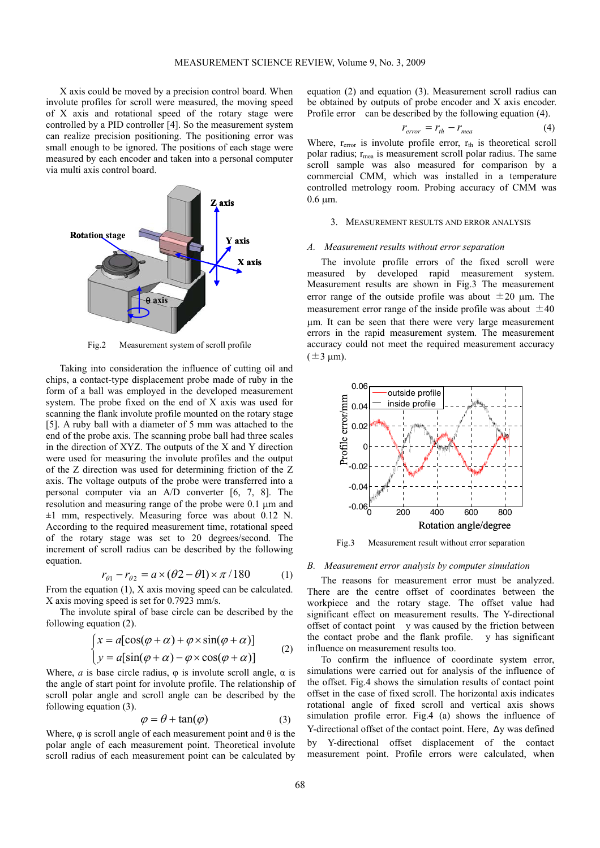X axis could be moved by a precision control board. When involute profiles for scroll were measured, the moving speed of X axis and rotational speed of the rotary stage were controlled by a PID controller [4]. So the measurement system can realize precision positioning. The positioning error was small enough to be ignored. The positions of each stage were measured by each encoder and taken into a personal computer via multi axis control board.



Fig.2 Measurement system of scroll profile

Taking into consideration the influence of cutting oil and chips, a contact-type displacement probe made of ruby in the form of a ball was employed in the developed measurement system. The probe fixed on the end of X axis was used for scanning the flank involute profile mounted on the rotary stage [5]. A ruby ball with a diameter of 5 mm was attached to the end of the probe axis. The scanning probe ball had three scales in the direction of XYZ. The outputs of the X and Y direction were used for measuring the involute profiles and the output of the Z direction was used for determining friction of the Z axis. The voltage outputs of the probe were transferred into a personal computer via an A/D converter [6, 7, 8]. The resolution and measuring range of the probe were 0.1 µm and  $\pm 1$  mm, respectively. Measuring force was about 0.12 N. According to the required measurement time, rotational speed of the rotary stage was set to 20 degrees/second. The increment of scroll radius can be described by the following equation.

$$
r_{\theta 1} - r_{\theta 2} = a \times (\theta 2 - \theta 1) \times \pi / 180 \tag{1}
$$

From the equation (1), X axis moving speed can be calculated. X axis moving speed is set for 0.7923 mm/s.

The involute spiral of base circle can be described by the following equation (2).

$$
\begin{cases} x = a[\cos(\varphi + \alpha) + \varphi \times \sin(\varphi + \alpha)] \\ y = a[\sin(\varphi + \alpha) - \varphi \times \cos(\varphi + \alpha)] \end{cases} (2)
$$

Where, *a* is base circle radius,  $\varphi$  is involute scroll angle,  $\alpha$  is the angle of start point for involute profile. The relationship of scroll polar angle and scroll angle can be described by the following equation (3).

$$
\varphi = \theta + \tan(\varphi) \tag{3}
$$

Where,  $\varphi$  is scroll angle of each measurement point and  $\theta$  is the polar angle of each measurement point. Theoretical involute scroll radius of each measurement point can be calculated by equation (2) and equation (3). Measurement scroll radius can be obtained by outputs of probe encoder and X axis encoder. Profile error can be described by the following equation (4).

$$
r_{error} = r_{th} - r_{mea} \tag{4}
$$

Where,  $r_{error}$  is involute profile error,  $r_{th}$  is theoretical scroll polar radius;  $r_{\text{mea}}$  is measurement scroll polar radius. The same scroll sample was also measured for comparison by a commercial CMM, which was installed in a temperature controlled metrology room. Probing accuracy of CMM was  $0.6 \mu m$ .

### 3. MEASUREMENT RESULTS AND ERROR ANALYSIS

### *A. Measurement results without error separation*

The involute profile errors of the fixed scroll were measured by developed rapid measurement system. Measurement results are shown in Fig.3 The measurement error range of the outside profile was about  $\pm 20$  µm. The measurement error range of the inside profile was about  $\pm 40$ µm. It can be seen that there were very large measurement errors in the rapid measurement system. The measurement accuracy could not meet the required measurement accuracy  $(\pm 3 \text{ um})$ .



Fig.3 Measurement result without error separation

### *B. Measurement error analysis by computer simulation*

The reasons for measurement error must be analyzed. There are the centre offset of coordinates between the workpiece and the rotary stage. The offset value had significant effect on measurement results. The Y-directional offset of contact point y was caused by the friction between the contact probe and the flank profile. y has significant influence on measurement results too.

To confirm the influence of coordinate system error, simulations were carried out for analysis of the influence of the offset. Fig.4 shows the simulation results of contact point offset in the case of fixed scroll. The horizontal axis indicates rotational angle of fixed scroll and vertical axis shows simulation profile error. Fig.4 (a) shows the influence of Y-directional offset of the contact point. Here, Δy was defined by Y-directional offset displacement of the contact measurement point. Profile errors were calculated, when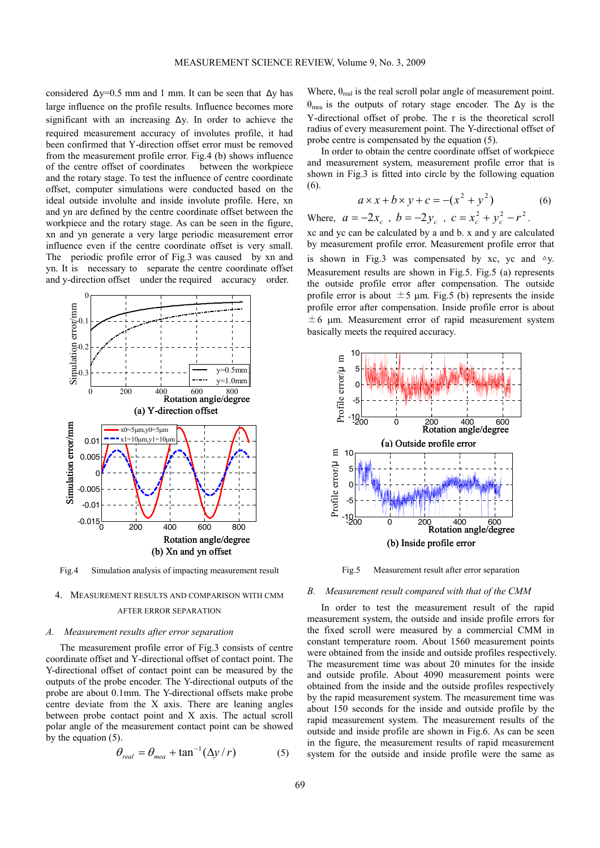considered  $\Delta y=0.5$  mm and 1 mm. It can be seen that  $\Delta y$  has large influence on the profile results. Influence becomes more significant with an increasing  $\Delta y$ . In order to achieve the required measurement accuracy of involutes profile, it had been confirmed that Y-direction offset error must be removed from the measurement profile error. Fig.4 (b) shows influence of the centre offset of coordinates between the workpiece and the rotary stage. To test the influence of centre coordinate offset, computer simulations were conducted based on the ideal outside involulte and inside involute profile. Here, xn and yn are defined by the centre coordinate offset between the workpiece and the rotary stage. As can be seen in the figure, xn and yn generate a very large periodic measurement error influence even if the centre coordinate offset is very small. The periodic profile error of Fig.3 was caused by xn and yn. It is necessary to separate the centre coordinate offset and y-direction offset under the required accuracy order.



Fig.4 Simulation analysis of impacting measurement result

# 4. MEASUREMENT RESULTS AND COMPARISON WITH CMM AFTER ERROR SEPARATION

### *A. Measurement results after error separation*

The measurement profile error of Fig.3 consists of centre coordinate offset and Y-directional offset of contact point. The Y-directional offset of contact point can be measured by the outputs of the probe encoder. The Y-directional outputs of the probe are about 0.1mm. The Y-directional offsets make probe centre deviate from the X axis. There are leaning angles between probe contact point and X axis. The actual scroll polar angle of the measurement contact point can be showed by the equation (5).

$$
\theta_{real} = \theta_{mea} + \tan^{-1} (\Delta y / r) \tag{5}
$$

Where,  $\theta_{\text{real}}$  is the real scroll polar angle of measurement point.  $θ_{mea}$  is the outputs of rotary stage encoder. The  $Δy$  is the Y-directional offset of probe. The r is the theoretical scroll radius of every measurement point. The Y-directional offset of probe centre is compensated by the equation (5).

In order to obtain the centre coordinate offset of workpiece and measurement system, measurement profile error that is shown in Fig.3 is fitted into circle by the following equation (6).

$$
a \times x + b \times y + c = -(x^2 + y^2) \tag{6}
$$

Where, 
$$
a = -2x_c
$$
,  $b = -2y_c$ ,  $c = x_c^2 + y_c^2 - r^2$ .

xc and yc can be calculated by a and b. x and y are calculated by measurement profile error. Measurement profile error that is shown in Fig.3 was compensated by xc, yc and  $\Delta y$ . Measurement results are shown in Fig.5. Fig.5 (a) represents the outside profile error after compensation. The outside profile error is about  $\pm 5$  µm. Fig.5 (b) represents the inside profile error after compensation. Inside profile error is about  $\pm 6$  µm. Measurement error of rapid measurement system basically meets the required accuracy.



Fig.5 Measurement result after error separation

### *B. Measurement result compared with that of the CMM*

In order to test the measurement result of the rapid measurement system, the outside and inside profile errors for the fixed scroll were measured by a commercial CMM in constant temperature room. About 1560 measurement points were obtained from the inside and outside profiles respectively. The measurement time was about 20 minutes for the inside and outside profile. About 4090 measurement points were obtained from the inside and the outside profiles respectively by the rapid measurement system. The measurement time was about 150 seconds for the inside and outside profile by the rapid measurement system. The measurement results of the outside and inside profile are shown in Fig.6. As can be seen in the figure, the measurement results of rapid measurement system for the outside and inside profile were the same as